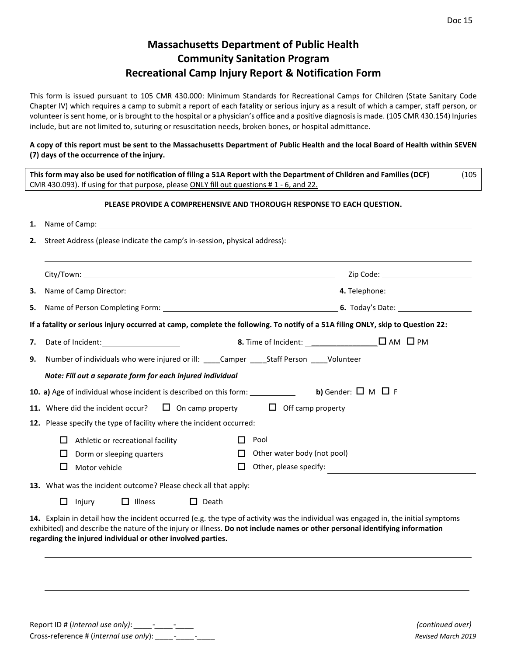## **Massachusetts Department of Public Health Community Sanitation Program Recreational Camp Injury Report & Notification Form**

This form is issued pursuant to 105 CMR 430.000: Minimum Standards for Recreational Camps for Children (State Sanitary Code Chapter IV) which requires a camp to submit a report of each fatality or serious injury as a result of which a camper, staff person, or volunteer is sent home, or is brought to the hospital or a physician's office and a positive diagnosis is made. (105 CMR 430.154) Injuries include, but are not limited to, suturing or resuscitation needs, broken bones, or hospital admittance.

## **A copy of this report must be sent to the Massachusetts Department of Public Health and the local Board of Health within SEVEN (7) days of the occurrence of the injury.**

|                                                                                 | This form may also be used for notification of filing a 51A Report with the Department of Children and Families (DCF)<br>CMR 430.093). If using for that purpose, please ONLY fill out questions #1 - 6, and 22.                                                                                                                 | (105) |  |  |  |  |  |  |
|---------------------------------------------------------------------------------|----------------------------------------------------------------------------------------------------------------------------------------------------------------------------------------------------------------------------------------------------------------------------------------------------------------------------------|-------|--|--|--|--|--|--|
|                                                                                 | PLEASE PROVIDE A COMPREHENSIVE AND THOROUGH RESPONSE TO EACH QUESTION.                                                                                                                                                                                                                                                           |       |  |  |  |  |  |  |
| 1.                                                                              |                                                                                                                                                                                                                                                                                                                                  |       |  |  |  |  |  |  |
| 2.<br>Street Address (please indicate the camp's in-session, physical address): |                                                                                                                                                                                                                                                                                                                                  |       |  |  |  |  |  |  |
|                                                                                 |                                                                                                                                                                                                                                                                                                                                  |       |  |  |  |  |  |  |
| З.                                                                              |                                                                                                                                                                                                                                                                                                                                  |       |  |  |  |  |  |  |
| 5.                                                                              |                                                                                                                                                                                                                                                                                                                                  |       |  |  |  |  |  |  |
|                                                                                 | If a fatality or serious injury occurred at camp, complete the following. To notify of a 51A filing ONLY, skip to Question 22:                                                                                                                                                                                                   |       |  |  |  |  |  |  |
| 7.                                                                              |                                                                                                                                                                                                                                                                                                                                  |       |  |  |  |  |  |  |
| 9.                                                                              | Number of individuals who were injured or ill: ____Camper _____Staff Person ____Volunteer                                                                                                                                                                                                                                        |       |  |  |  |  |  |  |
|                                                                                 | Note: Fill out a separate form for each injured individual                                                                                                                                                                                                                                                                       |       |  |  |  |  |  |  |
|                                                                                 | <b>b)</b> Gender: $\Box$ M $\Box$ F<br>10. a) Age of individual whose incident is described on this form:                                                                                                                                                                                                                        |       |  |  |  |  |  |  |
|                                                                                 | $\Box$ On camp property $\Box$ Off camp property<br>11. Where did the incident occur?                                                                                                                                                                                                                                            |       |  |  |  |  |  |  |
|                                                                                 | 12. Please specify the type of facility where the incident occurred:                                                                                                                                                                                                                                                             |       |  |  |  |  |  |  |
|                                                                                 | Pool<br>$\perp$<br>Athletic or recreational facility<br>$\mathbf{L}$                                                                                                                                                                                                                                                             |       |  |  |  |  |  |  |
|                                                                                 | Other water body (not pool)<br>П.<br>ப<br>Dorm or sleeping quarters                                                                                                                                                                                                                                                              |       |  |  |  |  |  |  |
|                                                                                 | Other, please specify:<br>□<br>Motor vehicle<br>$\Box$                                                                                                                                                                                                                                                                           |       |  |  |  |  |  |  |
|                                                                                 | 13. What was the incident outcome? Please check all that apply:                                                                                                                                                                                                                                                                  |       |  |  |  |  |  |  |
|                                                                                 | $\Box$ Injury<br>$\Box$ Illness<br>$\Box$ Death                                                                                                                                                                                                                                                                                  |       |  |  |  |  |  |  |
|                                                                                 | 14. Explain in detail how the incident occurred (e.g. the type of activity was the individual was engaged in, the initial symptoms<br>exhibited) and describe the nature of the injury or illness. Do not include names or other personal identifying information<br>regarding the injured individual or other involved parties. |       |  |  |  |  |  |  |

 $\mathcal{L}_\mathcal{L} = \{ \mathcal{L}_\mathcal{L} = \{ \mathcal{L}_\mathcal{L} = \{ \mathcal{L}_\mathcal{L} = \{ \mathcal{L}_\mathcal{L} = \{ \mathcal{L}_\mathcal{L} = \{ \mathcal{L}_\mathcal{L} = \{ \mathcal{L}_\mathcal{L} = \{ \mathcal{L}_\mathcal{L} = \{ \mathcal{L}_\mathcal{L} = \{ \mathcal{L}_\mathcal{L} = \{ \mathcal{L}_\mathcal{L} = \{ \mathcal{L}_\mathcal{L} = \{ \mathcal{L}_\mathcal{L} = \{ \mathcal{L}_\mathcal{$